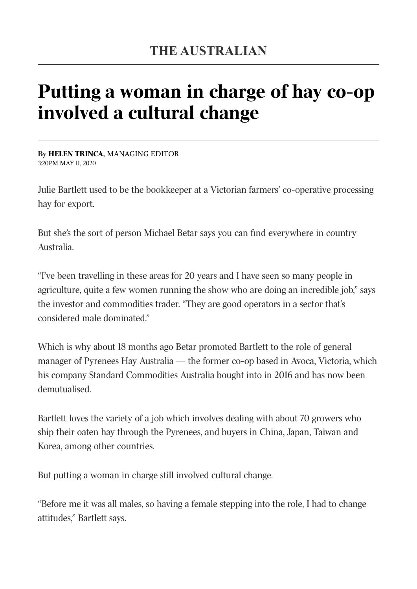## Putting a woman in charge of hay co-op involved a cultural change

By HELEN TRINCA, MANAGING EDITOR 3:20PM MAY 11, 2020

Julie Bartlett used to be the bookkeeper at a Victorian farmers' co-operative processing hay for export.

But she's the sort of person Michael Betar says you can find everywhere in country Australia.

"I've been travelling in these areas for 20 years and I have seen so many people in agriculture, quite a few women running the show who are doing an incredible job," says the investor and commodities trader. "They are good operators in a sector that's considered male dominated."

Which is why about 18 months ago Betar promoted Bartlett to the role of general manager of Pyrenees Hay Australia — the former co-op based in Avoca, Victoria, which his company Standard Commodities Australia bought into in 2016 and has now been demutualised.

Bartlett loves the variety of a job which involves dealing with about 70 growers who ship their oaten hay through the Pyrenees, and buyers in China, Japan, Taiwan and Korea, among other countries.

But putting a woman in charge still involved cultural change.

"Before me it was all males, so having a female stepping into the role, I had to change attitudes," Bartlett says.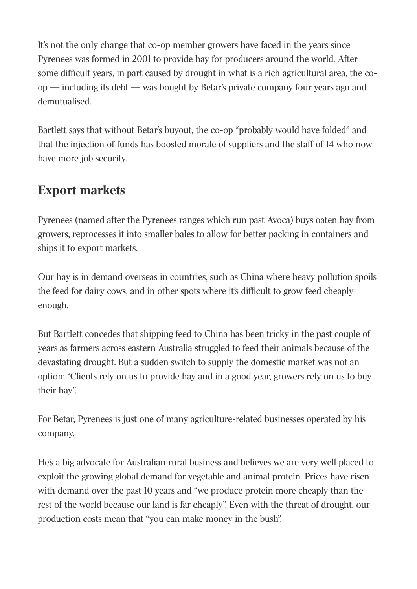It's not the only change that co-op member growers have faced in the years since Pyrenees was formed in 2001 to provide hay for producers around the world. After some difficult years, in part caused by drought in what is a rich agricultural area, the coop — including its debt — was bought by Betar's private company four years ago and demutualised.

Bartlett says that without Betar's buyout, the co-op "probably would have folded" and that the injection of funds has boosted morale of suppliers and the staff of 14 who now have more job security.

## Export markets

Pyrenees (named after the Pyrenees ranges which run past Avoca) buys oaten hay from growers, reprocesses it into smaller bales to allow for better packing in containers and ships it to export markets.

Our hay is in demand overseas in countries, such as China where heavy pollution spoils the feed for dairy cows, and in other spots where it's difficult to grow feed cheaply enough.

But Bartlett concedes that shipping feed to China has been tricky in the past couple of years as farmers across eastern Australia struggled to feed their animals because of the devastating drought. But a sudden switch to supply the domestic market was not an option: "Clients rely on us to provide hay and in a good year, growers rely on us to buy their hay".

For Betar, Pyrenees is just one of many agriculture-related businesses operated by his company.

He's a big advocate for Australian rural business and believes we are very well placed to exploit the growing global demand for vegetable and animal protein. Prices have risen with demand over the past 10 years and "we produce protein more cheaply than the rest of the world because our land is far cheaply". Even with the threat of drought, our production costs mean that "you can make money in the bush".